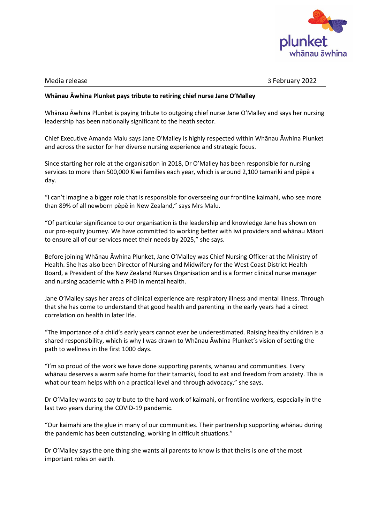

Media release 3 February 2022

## **Whānau Āwhina Plunket pays tribute to retiring chief nurse Jane O'Malley**

Whānau Āwhina Plunket is paying tribute to outgoing chief nurse Jane O'Malley and says her nursing leadership has been nationally significant to the heath sector.

Chief Executive Amanda Malu says Jane O'Malley is highly respected within Whānau Āwhina Plunket and across the sector for her diverse nursing experience and strategic focus.

Since starting her role at the organisation in 2018, Dr O'Malley has been responsible for nursing services to more than 500,000 Kiwi families each year, which is around 2,100 tamariki and pēpē a day.

"I can't imagine a bigger role that is responsible for overseeing our frontline kaimahi, who see more than 89% of all newborn pēpē in New Zealand," says Mrs Malu.

"Of particular significance to our organisation is the leadership and knowledge Jane has shown on our pro-equity journey. We have committed to working better with iwi providers and whānau Māori to ensure all of our services meet their needs by 2025," she says.

Before joining Whānau Āwhina Plunket, Jane O'Malley was Chief Nursing Officer at the Ministry of Health. She has also been Director of Nursing and Midwifery for the West Coast District Health Board, a President of the New Zealand Nurses Organisation and is a former clinical nurse manager and nursing academic with a PHD in mental health.

Jane O'Malley says her areas of clinical experience are respiratory illness and mental illness. Through that she has come to understand that good health and parenting in the early years had a direct correlation on health in later life.

"The importance of a child's early years cannot ever be underestimated. Raising healthy children is a shared responsibility, which is why I was drawn to Whānau Āwhina Plunket's vision of setting the path to wellness in the first 1000 days.

"I'm so proud of the work we have done supporting parents, whānau and communities. Every whānau deserves a warm safe home for their tamariki, food to eat and freedom from anxiety. This is what our team helps with on a practical level and through advocacy," she says.

Dr O'Malley wants to pay tribute to the hard work of kaimahi, or frontline workers, especially in the last two years during the COVID-19 pandemic.

"Our kaimahi are the glue in many of our communities. Their partnership supporting whānau during the pandemic has been outstanding, working in difficult situations."

Dr O'Malley says the one thing she wants all parents to know is that theirs is one of the most important roles on earth.